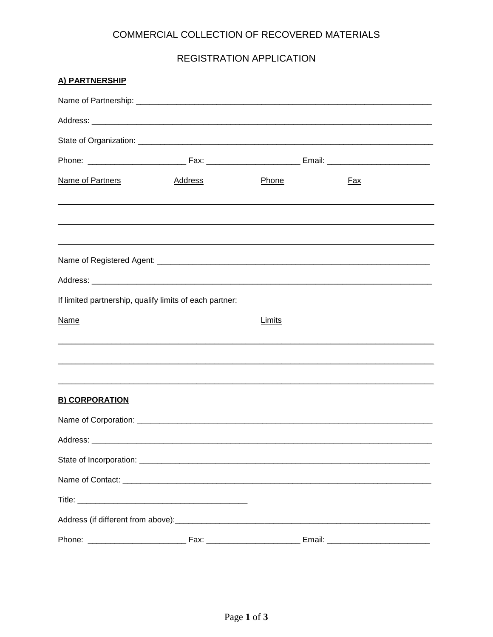# COMMERCIAL COLLECTION OF RECOVERED MATERIALS

#### REGISTRATION APPLICATION

| A) PARTNERSHIP                                          |         |                                                                                  |            |  |
|---------------------------------------------------------|---------|----------------------------------------------------------------------------------|------------|--|
|                                                         |         |                                                                                  |            |  |
|                                                         |         |                                                                                  |            |  |
|                                                         |         |                                                                                  |            |  |
|                                                         |         |                                                                                  |            |  |
| Name of Partners                                        | Address | <b>Phone</b>                                                                     | <u>Fax</u> |  |
|                                                         |         |                                                                                  |            |  |
|                                                         |         |                                                                                  |            |  |
|                                                         |         |                                                                                  |            |  |
| If limited partnership, qualify limits of each partner: |         |                                                                                  |            |  |
| Name                                                    |         | <b>Limits</b>                                                                    |            |  |
|                                                         |         |                                                                                  |            |  |
| <b>B) CORPORATION</b>                                   |         | ,我们也不会有什么。""我们的人,我们也不会有什么?""我们的人,我们也不会有什么?""我们的人,我们也不会有什么?""我们的人,我们也不会有什么?""我们的人 |            |  |
|                                                         |         |                                                                                  |            |  |
|                                                         |         |                                                                                  |            |  |
|                                                         |         |                                                                                  |            |  |
|                                                         |         |                                                                                  |            |  |
|                                                         |         |                                                                                  |            |  |
|                                                         |         |                                                                                  |            |  |
|                                                         |         |                                                                                  |            |  |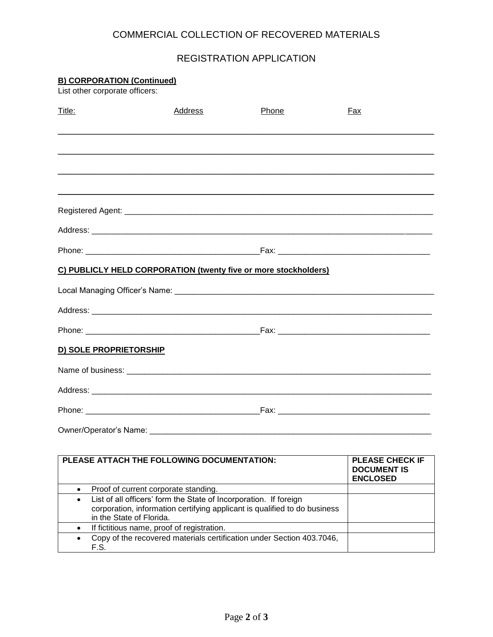## COMMERCIAL COLLECTION OF RECOVERED MATERIALS

## REGISTRATION APPLICATION

| <b>B) CORPORATION (Continued)</b><br>List other corporate officers:            |         |       |                                                                 |  |
|--------------------------------------------------------------------------------|---------|-------|-----------------------------------------------------------------|--|
| Title:                                                                         | Address | Phone | <b>Fax</b>                                                      |  |
|                                                                                |         |       |                                                                 |  |
|                                                                                |         |       |                                                                 |  |
|                                                                                |         |       |                                                                 |  |
|                                                                                |         |       |                                                                 |  |
|                                                                                |         |       |                                                                 |  |
|                                                                                |         |       |                                                                 |  |
| C) PUBLICLY HELD CORPORATION (twenty five or more stockholders)                |         |       |                                                                 |  |
|                                                                                |         |       |                                                                 |  |
|                                                                                |         |       |                                                                 |  |
|                                                                                |         |       |                                                                 |  |
| D) SOLE PROPRIETORSHIP                                                         |         |       |                                                                 |  |
|                                                                                |         |       |                                                                 |  |
|                                                                                |         |       |                                                                 |  |
|                                                                                |         |       |                                                                 |  |
| Owner/Operator's Name:                                                         |         |       |                                                                 |  |
|                                                                                |         |       |                                                                 |  |
| PLEASE ATTACH THE FOLLOWING DOCUMENTATION:                                     |         |       | <b>PLEASE CHECK IF</b><br><b>DOCUMENT IS</b><br><b>ENCLOSED</b> |  |
| Proof of current corporate standing.<br>$\bullet$                              |         |       |                                                                 |  |
| List of all officers' form the State of Incorporation. If foreign<br>$\bullet$ |         |       |                                                                 |  |

| in the State of Florida.                                                        |  |
|---------------------------------------------------------------------------------|--|
| If fictitious name, proof of registration.                                      |  |
| • Copy of the recovered materials certification under Section 403.7046,<br>F.S. |  |

corporation, information certifying applicant is qualified to do business